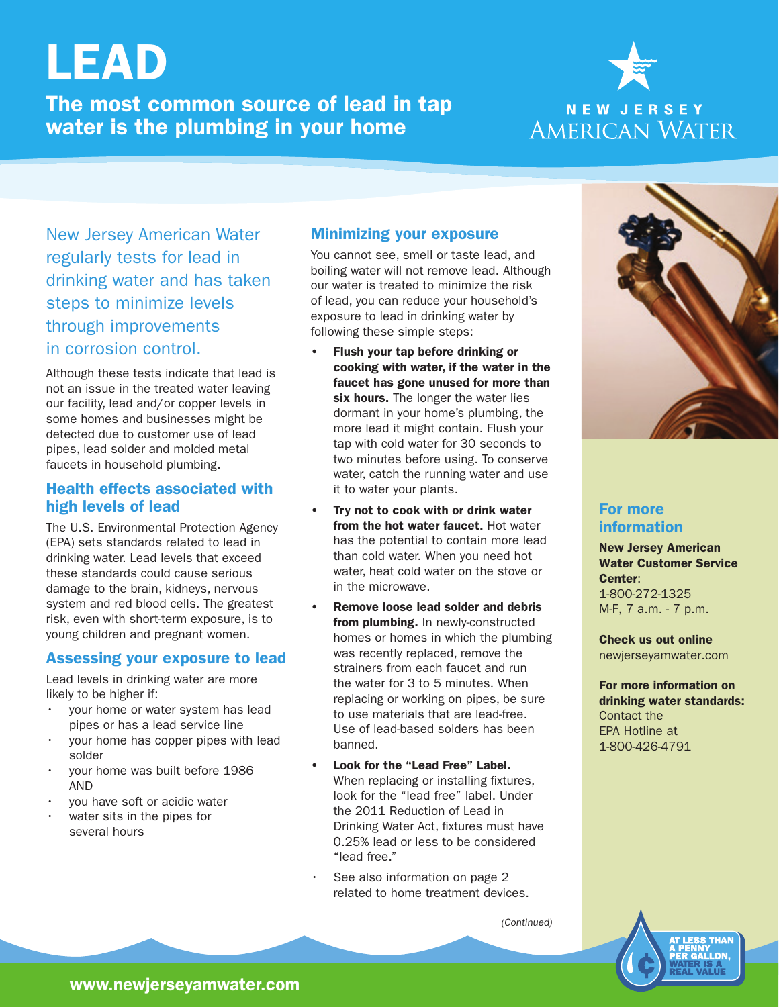# LEAD

The most common source of lead in tap water is the plumbing in your home



New Jersey American Water regularly tests for lead in drinking water and has taken steps to minimize levels through improvements in corrosion control.

Although these tests indicate that lead is not an issue in the treated water leaving our facility, lead and/or copper levels in some homes and businesses might be detected due to customer use of lead pipes, lead solder and molded metal faucets in household plumbing.

#### Health effects associated with high levels of lead

The U.S. Environmental Protection Agency (EPA) sets standards related to lead in drinking water. Lead levels that exceed these standards could cause serious damage to the brain, kidneys, nervous system and red blood cells. The greatest risk, even with short-term exposure, is to young children and pregnant women.

#### Assessing your exposure to lead

Lead levels in drinking water are more likely to be higher if:

- your home or water system has lead pipes or has a lead service line
- your home has copper pipes with lead solder
- your home was built before 1986 AND
- you have soft or acidic water
- water sits in the pipes for several hours

### Minimizing your exposure

You cannot see, smell or taste lead, and boiling water will not remove lead. Although our water is treated to minimize the risk of lead, you can reduce your household's exposure to lead in drinking water by following these simple steps:

- Flush your tap before drinking or cooking with water, if the water in the faucet has gone unused for more than six hours. The longer the water lies dormant in your home's plumbing, the more lead it might contain. Flush your tap with cold water for 30 seconds to two minutes before using. To conserve water, catch the running water and use it to water your plants.
- Try not to cook with or drink water from the hot water faucet. Hot water has the potential to contain more lead than cold water. When you need hot water, heat cold water on the stove or in the microwave.
- Remove loose lead solder and debris from plumbing. In newly-constructed homes or homes in which the plumbing was recently replaced, remove the strainers from each faucet and run the water for 3 to 5 minutes. When replacing or working on pipes, be sure to use materials that are lead-free. Use of lead-based solders has been banned.
- Look for the "Lead Free" Label. When replacing or installing fixtures, look for the "lead free" label. Under the 2011 Reduction of Lead in Drinking Water Act, fixtures must have 0.25% lead or less to be considered "lead free."
- See also information on page 2 related to home treatment devices.

(Continued)



### For more information

New Jersey American Water Customer Service Center: 1-800-272-1325 M-F, 7 a.m. - 7 p.m.

Check us out online newjerseyamwater.com

For more information on drinking water standards: Contact the EPA Hotline at 1-800-426-4791